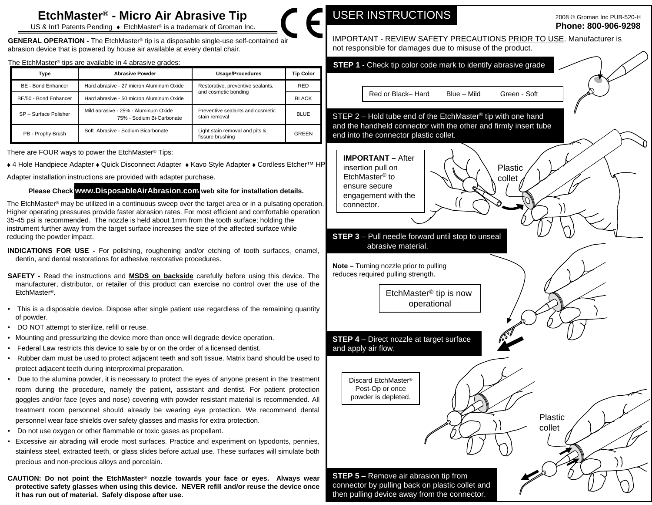# **EtchMaster® - Micro Air Abrasive Tip**  $\bullet$  **<b>USER INSTRUCTIONS** 2008 © Groman Inc PUB-520-H

US & Int'l Patents Pending ◆ EtchMaster® is a trademark of Groman Inc. **New York Contract Contract Contract Contract Contract Contract Contract Contract Contract Contract Contract Contract Contract Contract Contract Contr** 

**GENERAL OPERATION -** The EtchMaster® tip is a disposable single-use self-contained air abrasion device that is powered by house air available at every dental chair.

| Type                  | <b>Abrasive Powder</b>                                            | Usage/Procedures                                   | Tip Color    |
|-----------------------|-------------------------------------------------------------------|----------------------------------------------------|--------------|
| BE - Bond Enhancer    | Hard abrasive - 27 micron Aluminum Oxide                          | Restorative, preventive sealants,                  | <b>RED</b>   |
| BE/50 - Bond Enhancer | Hard abrasive - 50 micron Aluminum Oxide                          | and cosmetic bonding                               | <b>BLACK</b> |
| SP - Surface Polisher | Mild abrasive - 25% - Aluminum Oxide<br>75% - Sodium Bi-Carbonate | Preventive sealants and cosmetic<br>stain removal  | <b>BLUE</b>  |
| PB - Prophy Brush     | Soft Abrasive - Sodium Bicarbonate                                | Light stain removal and pits &<br>fissure brushing | GREEN        |

There are FOUR ways to power the EtchMaster® Tips:<br> **There are FOUR ways to power the EtchMaster® Tips:** 

+4 Hole Handpiece Adapter + Quick Disconnect Adapter + Kavo Style Adapter + Cordless Etcher™ HP | insertion pull on | ( ( ) Plastic

Adapter installation instructions are provided with adapter purchase.

# **Please Check [www.DisposableAirAbrasion.com](http://www.DisposableAirAbrasion.com) web site for installation details.**

The EtchMaster® may be utilized in a continuous sweep over the target area or in a pulsating operation.  $\Box$  connector. Higher operating pressures provide faster abrasion rates. For most efficient and comfortable operation 35-45 psi is recommended. The nozzle is held about 1mm from the tooth surface; holding the instrument further away from the target surface increases the size of the affected surface while

- **INDICATIONS FOR USE -** For polishing, roughening and/or etching of tooth surfaces, enamel, dentin, and dental restorations for adhesive restorative procedures.
- **SAFETY -** Read the instructions and **MSDS on backside** carefully before using this device. The manufacturer, distributor, or retailer of this product can exercise no control over the use of the
- of powder.
- DO NOT attempt to sterilize, refill or reuse.
- Mounting and pressurizing the device more than once will degrade device operation.
- Federal Law restricts this device to sale by or on the order of a licensed dentist.
- Rubber dam must be used to protect adjacent teeth and soft tissue. Matrix band should be used to protect adjacent teeth during interproximal preparation.
- Due to the alumina powder, it is necessary to protect the eyes of anyone present in the treatment **Discard EtchMaster**® room during the procedure, namely the patient, assistant and dentist. For patient protection **Fig.** Post-Op or once goggles and/or face (eyes and nose) covering with powder resistant material is recommended. All powder is depleted. treatment room personnel should already be wearing eye protection. We recommend dental<br>necessarily are then alternative algebra and marks for extra protection.
- Do not use oxygen or other flammable or toxic gases as propellant.
- Excessive air abrading will erode most surfaces. Practice and experiment on typodonts, pennies, stainless steel, extracted teeth, or glass slides before actual use. These surfaces will simulate both precious and non-precious alloys and porcelain.
- **CAUTION: Do not point the EtchMaster® nozzle towards your face or eyes. Always wear protective safety glasses when using this device. NEVER refill and/or reuse the device once it has run out of material. Safely dispose after use.**

# USER INSTRUCTIONS 2008 © Groman Inc PUB-520-H

## 2008 © Groman Inc PUB-520-H **Phone: 800-906-9298**